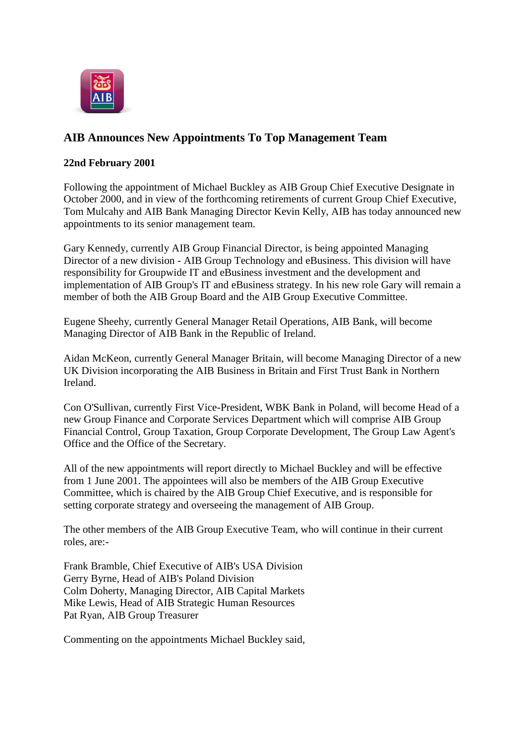

## **AIB Announces New Appointments To Top Management Team**

## **22nd February 2001**

Following the appointment of Michael Buckley as AIB Group Chief Executive Designate in October 2000, and in view of the forthcoming retirements of current Group Chief Executive, Tom Mulcahy and AIB Bank Managing Director Kevin Kelly, AIB has today announced new appointments to its senior management team.

Gary Kennedy, currently AIB Group Financial Director, is being appointed Managing Director of a new division - AIB Group Technology and eBusiness. This division will have responsibility for Groupwide IT and eBusiness investment and the development and implementation of AIB Group's IT and eBusiness strategy. In his new role Gary will remain a member of both the AIB Group Board and the AIB Group Executive Committee.

Eugene Sheehy, currently General Manager Retail Operations, AIB Bank, will become Managing Director of AIB Bank in the Republic of Ireland.

Aidan McKeon, currently General Manager Britain, will become Managing Director of a new UK Division incorporating the AIB Business in Britain and First Trust Bank in Northern Ireland.

Con O'Sullivan, currently First Vice-President, WBK Bank in Poland, will become Head of a new Group Finance and Corporate Services Department which will comprise AIB Group Financial Control, Group Taxation, Group Corporate Development, The Group Law Agent's Office and the Office of the Secretary.

All of the new appointments will report directly to Michael Buckley and will be effective from 1 June 2001. The appointees will also be members of the AIB Group Executive Committee, which is chaired by the AIB Group Chief Executive, and is responsible for setting corporate strategy and overseeing the management of AIB Group.

The other members of the AIB Group Executive Team, who will continue in their current roles, are:-

Frank Bramble, Chief Executive of AIB's USA Division Gerry Byrne, Head of AIB's Poland Division Colm Doherty, Managing Director, AIB Capital Markets Mike Lewis, Head of AIB Strategic Human Resources Pat Ryan, AIB Group Treasurer

Commenting on the appointments Michael Buckley said,